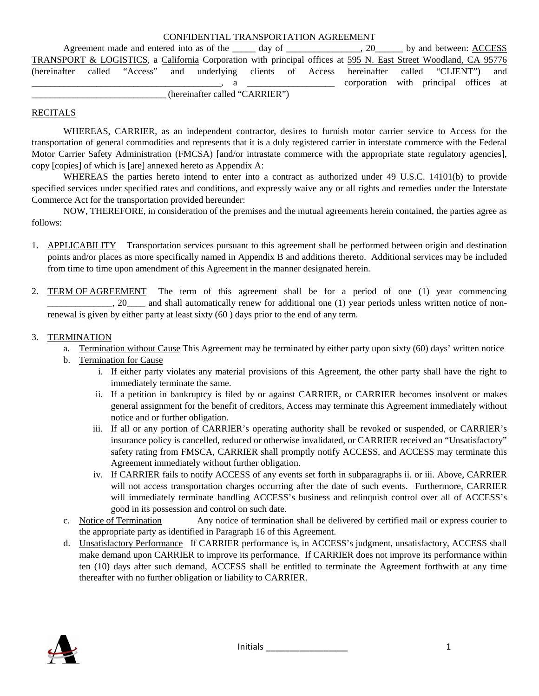|  |  | CONFIDENTIAL TRANSPORTATION AGREEMENT |  |
|--|--|---------------------------------------|--|
|--|--|---------------------------------------|--|

Agreement made and entered into as of the day of the  $\qquad \qquad$ , 20 by and between: ACCESS TRANSPORT & LOGISTICS, a California Corporation with principal offices at 595 N. East Street Woodland, CA 95776 (hereinafter called "Access" and underlying clients of Access hereinafter called "CLIENT") and \_\_\_\_\_\_\_\_\_\_\_\_\_\_\_\_\_\_\_\_\_\_\_\_\_\_\_\_\_\_\_\_\_\_\_\_\_\_\_\_\_, a \_\_\_\_\_\_\_\_\_\_\_\_\_\_\_\_\_\_\_ corporation with principal offices at (hereinafter called "CARRIER")

#### RECITALS

WHEREAS, CARRIER, as an independent contractor, desires to furnish motor carrier service to Access for the transportation of general commodities and represents that it is a duly registered carrier in interstate commerce with the Federal Motor Carrier Safety Administration (FMCSA) [and/or intrastate commerce with the appropriate state regulatory agencies], copy [copies] of which is [are] annexed hereto as Appendix A:

WHEREAS the parties hereto intend to enter into a contract as authorized under 49 U.S.C. 14101(b) to provide specified services under specified rates and conditions, and expressly waive any or all rights and remedies under the Interstate Commerce Act for the transportation provided hereunder:

NOW, THEREFORE, in consideration of the premises and the mutual agreements herein contained, the parties agree as follows:

- 1. APPLICABILITY Transportation services pursuant to this agreement shall be performed between origin and destination points and/or places as more specifically named in Appendix B and additions thereto. Additional services may be included from time to time upon amendment of this Agreement in the manner designated herein.
- 2. TERM OF AGREEMENT The term of this agreement shall be for a period of one (1) year commencing \_\_\_\_\_\_\_\_\_\_\_\_\_\_, 20\_\_\_\_ and shall automatically renew for additional one (1) year periods unless written notice of nonrenewal is given by either party at least sixty (60 ) days prior to the end of any term.

#### 3. TERMINATION

- a. Termination without Cause This Agreement may be terminated by either party upon sixty (60) days' written notice
- b. Termination for Cause
	- i. If either party violates any material provisions of this Agreement, the other party shall have the right to immediately terminate the same.
	- ii. If a petition in bankruptcy is filed by or against CARRIER, or CARRIER becomes insolvent or makes general assignment for the benefit of creditors, Access may terminate this Agreement immediately without notice and or further obligation.
	- iii. If all or any portion of CARRIER's operating authority shall be revoked or suspended, or CARRIER's insurance policy is cancelled, reduced or otherwise invalidated, or CARRIER received an "Unsatisfactory" safety rating from FMSCA, CARRIER shall promptly notify ACCESS, and ACCESS may terminate this Agreement immediately without further obligation.
	- iv. If CARRIER fails to notify ACCESS of any events set forth in subparagraphs ii. or iii. Above, CARRIER will not access transportation charges occurring after the date of such events. Furthermore, CARRIER will immediately terminate handling ACCESS's business and relinquish control over all of ACCESS's good in its possession and control on such date.
- c. Notice of Termination Any notice of termination shall be delivered by certified mail or express courier to the appropriate party as identified in Paragraph 16 of this Agreement.
- d. Unsatisfactory Performance If CARRIER performance is, in ACCESS's judgment, unsatisfactory, ACCESS shall make demand upon CARRIER to improve its performance. If CARRIER does not improve its performance within ten (10) days after such demand, ACCESS shall be entitled to terminate the Agreement forthwith at any time thereafter with no further obligation or liability to CARRIER.

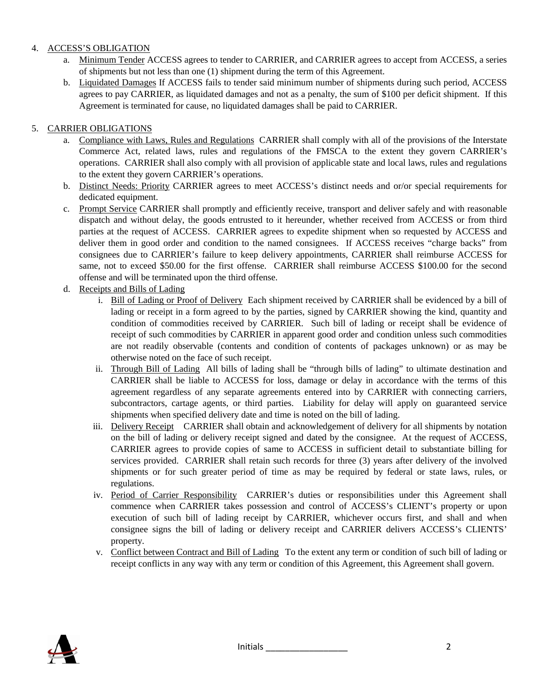### 4. ACCESS'S OBLIGATION

- a. Minimum Tender ACCESS agrees to tender to CARRIER, and CARRIER agrees to accept from ACCESS, a series of shipments but not less than one (1) shipment during the term of this Agreement.
- b. Liquidated Damages If ACCESS fails to tender said minimum number of shipments during such period, ACCESS agrees to pay CARRIER, as liquidated damages and not as a penalty, the sum of \$100 per deficit shipment. If this Agreement is terminated for cause, no liquidated damages shall be paid to CARRIER.

## 5. CARRIER OBLIGATIONS

- a. Compliance with Laws, Rules and Regulations CARRIER shall comply with all of the provisions of the Interstate Commerce Act, related laws, rules and regulations of the FMSCA to the extent they govern CARRIER's operations. CARRIER shall also comply with all provision of applicable state and local laws, rules and regulations to the extent they govern CARRIER's operations.
- b. Distinct Needs: Priority CARRIER agrees to meet ACCESS's distinct needs and or/or special requirements for dedicated equipment.
- c. Prompt Service CARRIER shall promptly and efficiently receive, transport and deliver safely and with reasonable dispatch and without delay, the goods entrusted to it hereunder, whether received from ACCESS or from third parties at the request of ACCESS. CARRIER agrees to expedite shipment when so requested by ACCESS and deliver them in good order and condition to the named consignees. If ACCESS receives "charge backs" from consignees due to CARRIER's failure to keep delivery appointments, CARRIER shall reimburse ACCESS for same, not to exceed \$50.00 for the first offense. CARRIER shall reimburse ACCESS \$100.00 for the second offense and will be terminated upon the third offense.
- d. Receipts and Bills of Lading
	- i. Bill of Lading or Proof of Delivery Each shipment received by CARRIER shall be evidenced by a bill of lading or receipt in a form agreed to by the parties, signed by CARRIER showing the kind, quantity and condition of commodities received by CARRIER. Such bill of lading or receipt shall be evidence of receipt of such commodities by CARRIER in apparent good order and condition unless such commodities are not readily observable (contents and condition of contents of packages unknown) or as may be otherwise noted on the face of such receipt.
	- ii. Through Bill of Lading All bills of lading shall be "through bills of lading" to ultimate destination and CARRIER shall be liable to ACCESS for loss, damage or delay in accordance with the terms of this agreement regardless of any separate agreements entered into by CARRIER with connecting carriers, subcontractors, cartage agents, or third parties. Liability for delay will apply on guaranteed service shipments when specified delivery date and time is noted on the bill of lading.
	- iii. Delivery Receipt CARRIER shall obtain and acknowledgement of delivery for all shipments by notation on the bill of lading or delivery receipt signed and dated by the consignee. At the request of ACCESS, CARRIER agrees to provide copies of same to ACCESS in sufficient detail to substantiate billing for services provided. CARRIER shall retain such records for three (3) years after delivery of the involved shipments or for such greater period of time as may be required by federal or state laws, rules, or regulations.
	- iv. Period of Carrier Responsibility CARRIER's duties or responsibilities under this Agreement shall commence when CARRIER takes possession and control of ACCESS's CLIENT's property or upon execution of such bill of lading receipt by CARRIER, whichever occurs first, and shall and when consignee signs the bill of lading or delivery receipt and CARRIER delivers ACCESS's CLIENTS' property.
	- v. Conflict between Contract and Bill of Lading To the extent any term or condition of such bill of lading or receipt conflicts in any way with any term or condition of this Agreement, this Agreement shall govern.

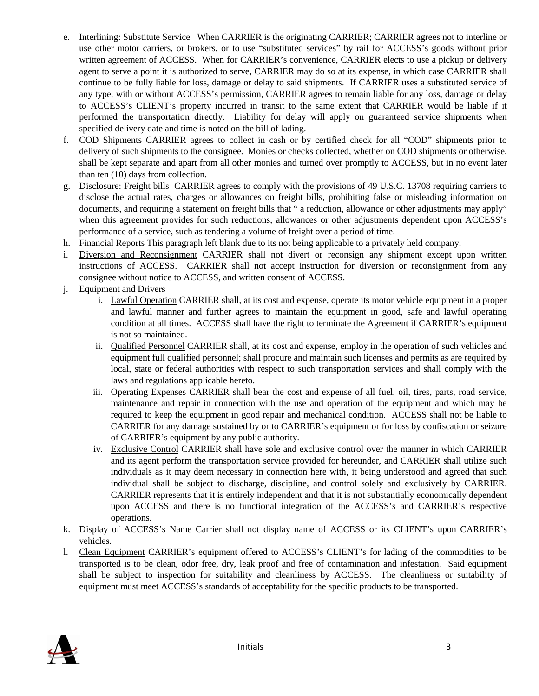- e. Interlining: Substitute Service When CARRIER is the originating CARRIER; CARRIER agrees not to interline or use other motor carriers, or brokers, or to use "substituted services" by rail for ACCESS's goods without prior written agreement of ACCESS. When for CARRIER's convenience, CARRIER elects to use a pickup or delivery agent to serve a point it is authorized to serve, CARRIER may do so at its expense, in which case CARRIER shall continue to be fully liable for loss, damage or delay to said shipments. If CARRIER uses a substituted service of any type, with or without ACCESS's permission, CARRIER agrees to remain liable for any loss, damage or delay to ACCESS's CLIENT's property incurred in transit to the same extent that CARRIER would be liable if it performed the transportation directly. Liability for delay will apply on guaranteed service shipments when specified delivery date and time is noted on the bill of lading.
- f. COD Shipments CARRIER agrees to collect in cash or by certified check for all "COD" shipments prior to delivery of such shipments to the consignee. Monies or checks collected, whether on COD shipments or otherwise, shall be kept separate and apart from all other monies and turned over promptly to ACCESS, but in no event later than ten (10) days from collection.
- g. Disclosure: Freight bills CARRIER agrees to comply with the provisions of 49 U.S.C. 13708 requiring carriers to disclose the actual rates, charges or allowances on freight bills, prohibiting false or misleading information on documents, and requiring a statement on freight bills that " a reduction, allowance or other adjustments may apply" when this agreement provides for such reductions, allowances or other adjustments dependent upon ACCESS's performance of a service, such as tendering a volume of freight over a period of time.
- h. Financial Reports This paragraph left blank due to its not being applicable to a privately held company.
- i. Diversion and Reconsignment CARRIER shall not divert or reconsign any shipment except upon written instructions of ACCESS. CARRIER shall not accept instruction for diversion or reconsignment from any consignee without notice to ACCESS, and written consent of ACCESS.
- j. Equipment and Drivers
	- i. Lawful Operation CARRIER shall, at its cost and expense, operate its motor vehicle equipment in a proper and lawful manner and further agrees to maintain the equipment in good, safe and lawful operating condition at all times. ACCESS shall have the right to terminate the Agreement if CARRIER's equipment is not so maintained.
	- ii. Qualified Personnel CARRIER shall, at its cost and expense, employ in the operation of such vehicles and equipment full qualified personnel; shall procure and maintain such licenses and permits as are required by local, state or federal authorities with respect to such transportation services and shall comply with the laws and regulations applicable hereto.
	- iii. Operating Expenses CARRIER shall bear the cost and expense of all fuel, oil, tires, parts, road service, maintenance and repair in connection with the use and operation of the equipment and which may be required to keep the equipment in good repair and mechanical condition. ACCESS shall not be liable to CARRIER for any damage sustained by or to CARRIER's equipment or for loss by confiscation or seizure of CARRIER's equipment by any public authority.
	- iv. Exclusive Control CARRIER shall have sole and exclusive control over the manner in which CARRIER and its agent perform the transportation service provided for hereunder, and CARRIER shall utilize such individuals as it may deem necessary in connection here with, it being understood and agreed that such individual shall be subject to discharge, discipline, and control solely and exclusively by CARRIER. CARRIER represents that it is entirely independent and that it is not substantially economically dependent upon ACCESS and there is no functional integration of the ACCESS's and CARRIER's respective operations.
- k. Display of ACCESS's Name Carrier shall not display name of ACCESS or its CLIENT's upon CARRIER's vehicles.
- l. Clean Equipment CARRIER's equipment offered to ACCESS's CLIENT's for lading of the commodities to be transported is to be clean, odor free, dry, leak proof and free of contamination and infestation. Said equipment shall be subject to inspection for suitability and cleanliness by ACCESS. The cleanliness or suitability of equipment must meet ACCESS's standards of acceptability for the specific products to be transported.

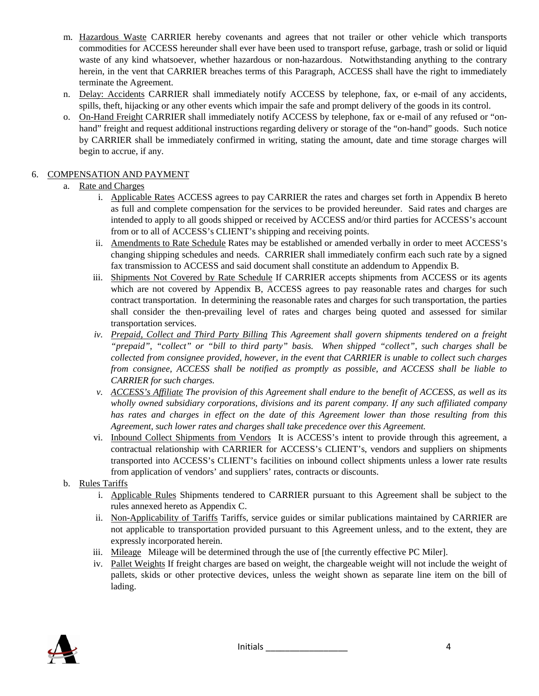- m. Hazardous Waste CARRIER hereby covenants and agrees that not trailer or other vehicle which transports commodities for ACCESS hereunder shall ever have been used to transport refuse, garbage, trash or solid or liquid waste of any kind whatsoever, whether hazardous or non-hazardous. Notwithstanding anything to the contrary herein, in the vent that CARRIER breaches terms of this Paragraph, ACCESS shall have the right to immediately terminate the Agreement.
- n. Delay: Accidents CARRIER shall immediately notify ACCESS by telephone, fax, or e-mail of any accidents, spills, theft, hijacking or any other events which impair the safe and prompt delivery of the goods in its control.
- o. On-Hand Freight CARRIER shall immediately notify ACCESS by telephone, fax or e-mail of any refused or "onhand" freight and request additional instructions regarding delivery or storage of the "on-hand" goods. Such notice by CARRIER shall be immediately confirmed in writing, stating the amount, date and time storage charges will begin to accrue, if any.

### 6. COMPENSATION AND PAYMENT

### a. Rate and Charges

- i. Applicable Rates ACCESS agrees to pay CARRIER the rates and charges set forth in Appendix B hereto as full and complete compensation for the services to be provided hereunder. Said rates and charges are intended to apply to all goods shipped or received by ACCESS and/or third parties for ACCESS's account from or to all of ACCESS's CLIENT's shipping and receiving points.
- ii. Amendments to Rate Schedule Rates may be established or amended verbally in order to meet ACCESS's changing shipping schedules and needs. CARRIER shall immediately confirm each such rate by a signed fax transmission to ACCESS and said document shall constitute an addendum to Appendix B.
- iii. Shipments Not Covered by Rate Schedule If CARRIER accepts shipments from ACCESS or its agents which are not covered by Appendix B, ACCESS agrees to pay reasonable rates and charges for such contract transportation. In determining the reasonable rates and charges for such transportation, the parties shall consider the then-prevailing level of rates and charges being quoted and assessed for similar transportation services.
- *iv. Prepaid, Collect and Third Party Billing This Agreement shall govern shipments tendered on a freight "prepaid", "collect" or "bill to third party" basis. When shipped "collect", such charges shall be collected from consignee provided, however, in the event that CARRIER is unable to collect such charges from consignee, ACCESS shall be notified as promptly as possible, and ACCESS shall be liable to CARRIER for such charges.*
- *v. ACCESS's Affiliate The provision of this Agreement shall endure to the benefit of ACCESS, as well as its wholly owned subsidiary corporations, divisions and its parent company. If any such affiliated company has rates and charges in effect on the date of this Agreement lower than those resulting from this Agreement, such lower rates and charges shall take precedence over this Agreement.*
- vi. Inbound Collect Shipments from Vendors It is ACCESS's intent to provide through this agreement, a contractual relationship with CARRIER for ACCESS's CLIENT's, vendors and suppliers on shipments transported into ACCESS's CLIENT's facilities on inbound collect shipments unless a lower rate results from application of vendors' and suppliers' rates, contracts or discounts.
- b. Rules Tariffs
	- i. Applicable Rules Shipments tendered to CARRIER pursuant to this Agreement shall be subject to the rules annexed hereto as Appendix C.
	- ii. Non-Applicability of Tariffs Tariffs, service guides or similar publications maintained by CARRIER are not applicable to transportation provided pursuant to this Agreement unless, and to the extent, they are expressly incorporated herein.
	- iii. Mileage Mileage will be determined through the use of [the currently effective PC Miler].
	- iv. Pallet Weights If freight charges are based on weight, the chargeable weight will not include the weight of pallets, skids or other protective devices, unless the weight shown as separate line item on the bill of lading.

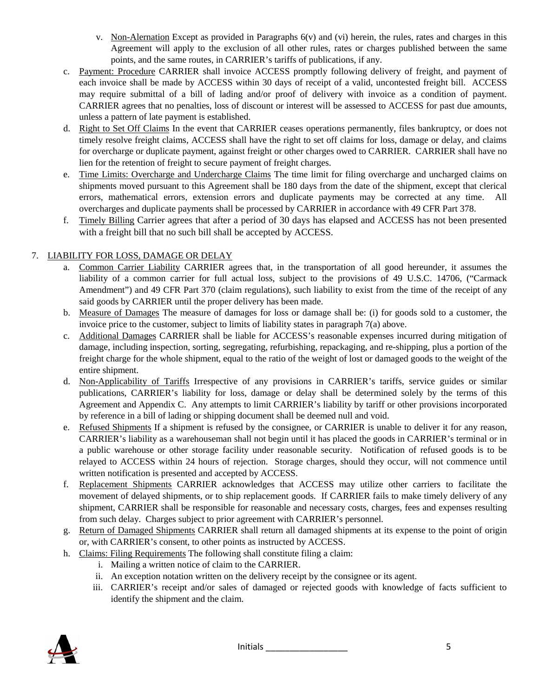- v. Non-Alernation Except as provided in Paragraphs 6(v) and (vi) herein, the rules, rates and charges in this Agreement will apply to the exclusion of all other rules, rates or charges published between the same points, and the same routes, in CARRIER's tariffs of publications, if any.
- c. Payment: Procedure CARRIER shall invoice ACCESS promptly following delivery of freight, and payment of each invoice shall be made by ACCESS within 30 days of receipt of a valid, uncontested freight bill. ACCESS may require submittal of a bill of lading and/or proof of delivery with invoice as a condition of payment. CARRIER agrees that no penalties, loss of discount or interest will be assessed to ACCESS for past due amounts, unless a pattern of late payment is established.
- d. Right to Set Off Claims In the event that CARRIER ceases operations permanently, files bankruptcy, or does not timely resolve freight claims, ACCESS shall have the right to set off claims for loss, damage or delay, and claims for overcharge or duplicate payment, against freight or other charges owed to CARRIER. CARRIER shall have no lien for the retention of freight to secure payment of freight charges.
- e. Time Limits: Overcharge and Undercharge Claims The time limit for filing overcharge and uncharged claims on shipments moved pursuant to this Agreement shall be 180 days from the date of the shipment, except that clerical errors, mathematical errors, extension errors and duplicate payments may be corrected at any time. All overcharges and duplicate payments shall be processed by CARRIER in accordance with 49 CFR Part 378.
- f. Timely Billing Carrier agrees that after a period of 30 days has elapsed and ACCESS has not been presented with a freight bill that no such bill shall be accepted by ACCESS.

# 7. LIABILITY FOR LOSS, DAMAGE OR DELAY

- a. Common Carrier Liability CARRIER agrees that, in the transportation of all good hereunder, it assumes the liability of a common carrier for full actual loss, subject to the provisions of 49 U.S.C. 14706, ("Carmack Amendment") and 49 CFR Part 370 (claim regulations), such liability to exist from the time of the receipt of any said goods by CARRIER until the proper delivery has been made.
- b. Measure of Damages The measure of damages for loss or damage shall be: (i) for goods sold to a customer, the invoice price to the customer, subject to limits of liability states in paragraph 7(a) above.
- c. Additional Damages CARRIER shall be liable for ACCESS's reasonable expenses incurred during mitigation of damage, including inspection, sorting, segregating, refurbishing, repackaging, and re-shipping, plus a portion of the freight charge for the whole shipment, equal to the ratio of the weight of lost or damaged goods to the weight of the entire shipment.
- d. Non-Applicability of Tariffs Irrespective of any provisions in CARRIER's tariffs, service guides or similar publications, CARRIER's liability for loss, damage or delay shall be determined solely by the terms of this Agreement and Appendix C. Any attempts to limit CARRIER's liability by tariff or other provisions incorporated by reference in a bill of lading or shipping document shall be deemed null and void.
- e. Refused Shipments If a shipment is refused by the consignee, or CARRIER is unable to deliver it for any reason, CARRIER's liability as a warehouseman shall not begin until it has placed the goods in CARRIER's terminal or in a public warehouse or other storage facility under reasonable security. Notification of refused goods is to be relayed to ACCESS within 24 hours of rejection. Storage charges, should they occur, will not commence until written notification is presented and accepted by ACCESS.
- f. Replacement Shipments CARRIER acknowledges that ACCESS may utilize other carriers to facilitate the movement of delayed shipments, or to ship replacement goods. If CARRIER fails to make timely delivery of any shipment, CARRIER shall be responsible for reasonable and necessary costs, charges, fees and expenses resulting from such delay. Charges subject to prior agreement with CARRIER's personnel.
- g. Return of Damaged Shipments CARRIER shall return all damaged shipments at its expense to the point of origin or, with CARRIER's consent, to other points as instructed by ACCESS.
- h. Claims: Filing Requirements The following shall constitute filing a claim:
	- i. Mailing a written notice of claim to the CARRIER.
	- ii. An exception notation written on the delivery receipt by the consignee or its agent.
	- iii. CARRIER's receipt and/or sales of damaged or rejected goods with knowledge of facts sufficient to identify the shipment and the claim.

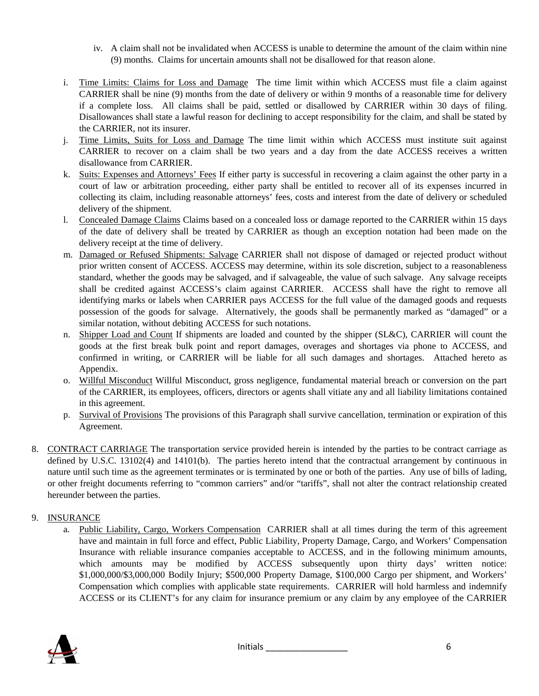- iv. A claim shall not be invalidated when ACCESS is unable to determine the amount of the claim within nine (9) months. Claims for uncertain amounts shall not be disallowed for that reason alone.
- i. Time Limits: Claims for Loss and Damage The time limit within which ACCESS must file a claim against CARRIER shall be nine (9) months from the date of delivery or within 9 months of a reasonable time for delivery if a complete loss. All claims shall be paid, settled or disallowed by CARRIER within 30 days of filing. Disallowances shall state a lawful reason for declining to accept responsibility for the claim, and shall be stated by the CARRIER, not its insurer.
- j. Time Limits, Suits for Loss and Damage The time limit within which ACCESS must institute suit against CARRIER to recover on a claim shall be two years and a day from the date ACCESS receives a written disallowance from CARRIER.
- k. Suits: Expenses and Attorneys' Fees If either party is successful in recovering a claim against the other party in a court of law or arbitration proceeding, either party shall be entitled to recover all of its expenses incurred in collecting its claim, including reasonable attorneys' fees, costs and interest from the date of delivery or scheduled delivery of the shipment.
- l. Concealed Damage Claims Claims based on a concealed loss or damage reported to the CARRIER within 15 days of the date of delivery shall be treated by CARRIER as though an exception notation had been made on the delivery receipt at the time of delivery.
- m. Damaged or Refused Shipments: Salvage CARRIER shall not dispose of damaged or rejected product without prior written consent of ACCESS. ACCESS may determine, within its sole discretion, subject to a reasonableness standard, whether the goods may be salvaged, and if salvageable, the value of such salvage. Any salvage receipts shall be credited against ACCESS's claim against CARRIER. ACCESS shall have the right to remove all identifying marks or labels when CARRIER pays ACCESS for the full value of the damaged goods and requests possession of the goods for salvage. Alternatively, the goods shall be permanently marked as "damaged" or a similar notation, without debiting ACCESS for such notations.
- n. Shipper Load and Count If shipments are loaded and counted by the shipper (SL&C), CARRIER will count the goods at the first break bulk point and report damages, overages and shortages via phone to ACCESS, and confirmed in writing, or CARRIER will be liable for all such damages and shortages. Attached hereto as Appendix.
- o. Willful Misconduct Willful Misconduct, gross negligence, fundamental material breach or conversion on the part of the CARRIER, its employees, officers, directors or agents shall vitiate any and all liability limitations contained in this agreement.
- p. Survival of Provisions The provisions of this Paragraph shall survive cancellation, termination or expiration of this Agreement.
- 8. CONTRACT CARRIAGE The transportation service provided herein is intended by the parties to be contract carriage as defined by U.S.C. 13102(4) and 14101(b). The parties hereto intend that the contractual arrangement by continuous in nature until such time as the agreement terminates or is terminated by one or both of the parties. Any use of bills of lading, or other freight documents referring to "common carriers" and/or "tariffs", shall not alter the contract relationship created hereunder between the parties.

# 9. INSURANCE

a. Public Liability, Cargo, Workers Compensation CARRIER shall at all times during the term of this agreement have and maintain in full force and effect, Public Liability, Property Damage, Cargo, and Workers' Compensation Insurance with reliable insurance companies acceptable to ACCESS, and in the following minimum amounts, which amounts may be modified by ACCESS subsequently upon thirty days' written notice: \$1,000,000/\$3,000,000 Bodily Injury; \$500,000 Property Damage, \$100,000 Cargo per shipment, and Workers' Compensation which complies with applicable state requirements. CARRIER will hold harmless and indemnify ACCESS or its CLIENT's for any claim for insurance premium or any claim by any employee of the CARRIER

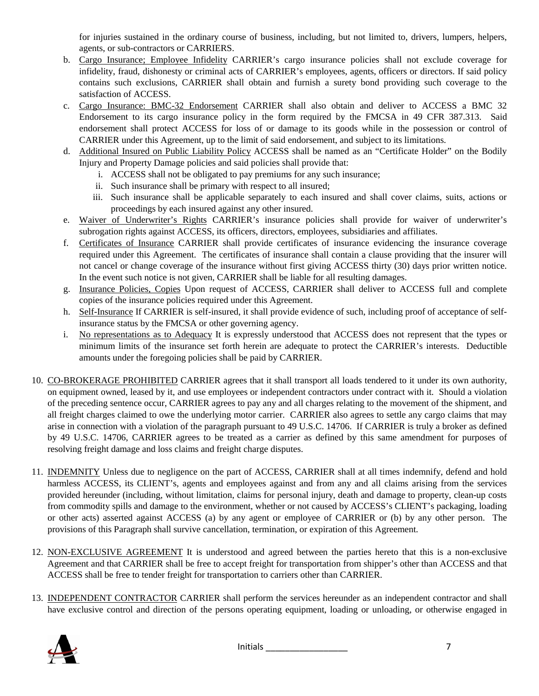for injuries sustained in the ordinary course of business, including, but not limited to, drivers, lumpers, helpers, agents, or sub-contractors or CARRIERS.

- b. Cargo Insurance; Employee Infidelity CARRIER's cargo insurance policies shall not exclude coverage for infidelity, fraud, dishonesty or criminal acts of CARRIER's employees, agents, officers or directors. If said policy contains such exclusions, CARRIER shall obtain and furnish a surety bond providing such coverage to the satisfaction of ACCESS.
- c. Cargo Insurance: BMC-32 Endorsement CARRIER shall also obtain and deliver to ACCESS a BMC 32 Endorsement to its cargo insurance policy in the form required by the FMCSA in 49 CFR 387.313. Said endorsement shall protect ACCESS for loss of or damage to its goods while in the possession or control of CARRIER under this Agreement, up to the limit of said endorsement, and subject to its limitations.
- d. Additional Insured on Public Liability Policy ACCESS shall be named as an "Certificate Holder" on the Bodily Injury and Property Damage policies and said policies shall provide that:
	- i. ACCESS shall not be obligated to pay premiums for any such insurance;
	- ii. Such insurance shall be primary with respect to all insured;
	- iii. Such insurance shall be applicable separately to each insured and shall cover claims, suits, actions or proceedings by each insured against any other insured.
- e. Waiver of Underwriter's Rights CARRIER's insurance policies shall provide for waiver of underwriter's subrogation rights against ACCESS, its officers, directors, employees, subsidiaries and affiliates.
- f. Certificates of Insurance CARRIER shall provide certificates of insurance evidencing the insurance coverage required under this Agreement. The certificates of insurance shall contain a clause providing that the insurer will not cancel or change coverage of the insurance without first giving ACCESS thirty (30) days prior written notice. In the event such notice is not given, CARRIER shall be liable for all resulting damages.
- g. Insurance Policies, Copies Upon request of ACCESS, CARRIER shall deliver to ACCESS full and complete copies of the insurance policies required under this Agreement.
- h. Self-Insurance If CARRIER is self-insured, it shall provide evidence of such, including proof of acceptance of selfinsurance status by the FMCSA or other governing agency.
- i. No representations as to Adequacy It is expressly understood that ACCESS does not represent that the types or minimum limits of the insurance set forth herein are adequate to protect the CARRIER's interests. Deductible amounts under the foregoing policies shall be paid by CARRIER.
- 10. CO-BROKERAGE PROHIBITED CARRIER agrees that it shall transport all loads tendered to it under its own authority, on equipment owned, leased by it, and use employees or independent contractors under contract with it. Should a violation of the preceding sentence occur, CARRIER agrees to pay any and all charges relating to the movement of the shipment, and all freight charges claimed to owe the underlying motor carrier. CARRIER also agrees to settle any cargo claims that may arise in connection with a violation of the paragraph pursuant to 49 U.S.C. 14706. If CARRIER is truly a broker as defined by 49 U.S.C. 14706, CARRIER agrees to be treated as a carrier as defined by this same amendment for purposes of resolving freight damage and loss claims and freight charge disputes.
- 11. INDEMNITY Unless due to negligence on the part of ACCESS, CARRIER shall at all times indemnify, defend and hold harmless ACCESS, its CLIENT's, agents and employees against and from any and all claims arising from the services provided hereunder (including, without limitation, claims for personal injury, death and damage to property, clean-up costs from commodity spills and damage to the environment, whether or not caused by ACCESS's CLIENT's packaging, loading or other acts) asserted against ACCESS (a) by any agent or employee of CARRIER or (b) by any other person. The provisions of this Paragraph shall survive cancellation, termination, or expiration of this Agreement.
- 12. NON-EXCLUSIVE AGREEMENT It is understood and agreed between the parties hereto that this is a non-exclusive Agreement and that CARRIER shall be free to accept freight for transportation from shipper's other than ACCESS and that ACCESS shall be free to tender freight for transportation to carriers other than CARRIER.
- 13. INDEPENDENT CONTRACTOR CARRIER shall perform the services hereunder as an independent contractor and shall have exclusive control and direction of the persons operating equipment, loading or unloading, or otherwise engaged in

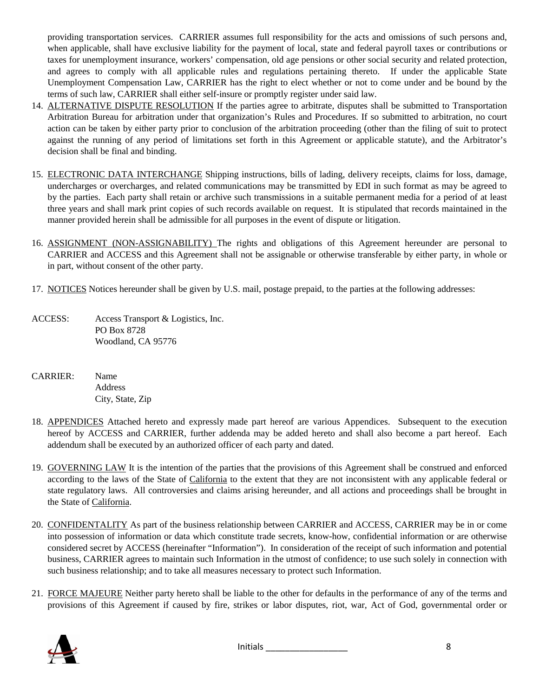providing transportation services. CARRIER assumes full responsibility for the acts and omissions of such persons and, when applicable, shall have exclusive liability for the payment of local, state and federal payroll taxes or contributions or taxes for unemployment insurance, workers' compensation, old age pensions or other social security and related protection, and agrees to comply with all applicable rules and regulations pertaining thereto. If under the applicable State Unemployment Compensation Law, CARRIER has the right to elect whether or not to come under and be bound by the terms of such law, CARRIER shall either self-insure or promptly register under said law.

- 14. ALTERNATIVE DISPUTE RESOLUTION If the parties agree to arbitrate, disputes shall be submitted to Transportation Arbitration Bureau for arbitration under that organization's Rules and Procedures. If so submitted to arbitration, no court action can be taken by either party prior to conclusion of the arbitration proceeding (other than the filing of suit to protect against the running of any period of limitations set forth in this Agreement or applicable statute), and the Arbitrator's decision shall be final and binding.
- 15. ELECTRONIC DATA INTERCHANGE Shipping instructions, bills of lading, delivery receipts, claims for loss, damage, undercharges or overcharges, and related communications may be transmitted by EDI in such format as may be agreed to by the parties. Each party shall retain or archive such transmissions in a suitable permanent media for a period of at least three years and shall mark print copies of such records available on request. It is stipulated that records maintained in the manner provided herein shall be admissible for all purposes in the event of dispute or litigation.
- 16. ASSIGNMENT (NON-ASSIGNABILITY) The rights and obligations of this Agreement hereunder are personal to CARRIER and ACCESS and this Agreement shall not be assignable or otherwise transferable by either party, in whole or in part, without consent of the other party.
- 17. NOTICES Notices hereunder shall be given by U.S. mail, postage prepaid, to the parties at the following addresses:
- ACCESS: Access Transport & Logistics, Inc. PO Box 8728 Woodland, CA 95776
- CARRIER: Name Address City, State, Zip
- 18. APPENDICES Attached hereto and expressly made part hereof are various Appendices. Subsequent to the execution hereof by ACCESS and CARRIER, further addenda may be added hereto and shall also become a part hereof. Each addendum shall be executed by an authorized officer of each party and dated.
- 19. GOVERNING LAW It is the intention of the parties that the provisions of this Agreement shall be construed and enforced according to the laws of the State of California to the extent that they are not inconsistent with any applicable federal or state regulatory laws. All controversies and claims arising hereunder, and all actions and proceedings shall be brought in the State of California.
- 20. CONFIDENTALITY As part of the business relationship between CARRIER and ACCESS, CARRIER may be in or come into possession of information or data which constitute trade secrets, know-how, confidential information or are otherwise considered secret by ACCESS (hereinafter "Information"). In consideration of the receipt of such information and potential business, CARRIER agrees to maintain such Information in the utmost of confidence; to use such solely in connection with such business relationship; and to take all measures necessary to protect such Information.
- 21. FORCE MAJEURE Neither party hereto shall be liable to the other for defaults in the performance of any of the terms and provisions of this Agreement if caused by fire, strikes or labor disputes, riot, war, Act of God, governmental order or